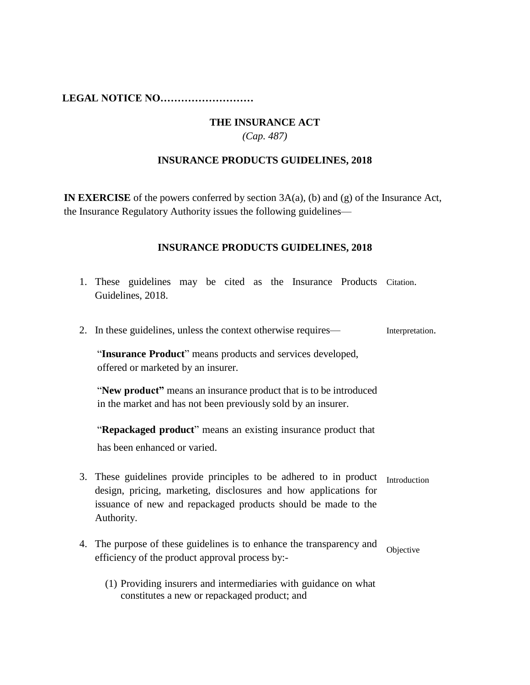**LEGAL NOTICE NO………………………**

## **THE INSURANCE ACT**

*(Cap. 487)*

## **INSURANCE PRODUCTS GUIDELINES, 2018**

**IN EXERCISE** of the powers conferred by section 3A(a), (b) and (g) of the Insurance Act, the Insurance Regulatory Authority issues the following guidelines—

## **INSURANCE PRODUCTS GUIDELINES, 2018**

1. These guidelines may be cited as the Insurance Products Citation. Guidelines, 2018. 2. In these guidelines, unless the context otherwise requires— "**Insurance Product**" means products and services developed, offered or marketed by an insurer. "**New product"** means an insurance product that is to be introduced in the market and has not been previously sold by an insurer. "**Repackaged product**" means an existing insurance product that has been enhanced or varied. Interpretation. 3. These guidelines provide principles to be adhered to in product Introduction design, pricing, marketing, disclosures and how applications for issuance of new and repackaged products should be made to the Authority. 4. The purpose of these guidelines is to enhance the transparency and efficiency of the product approval process by:- (1) Providing insurers and intermediaries with guidance on what constitutes a new or repackaged product; and Objective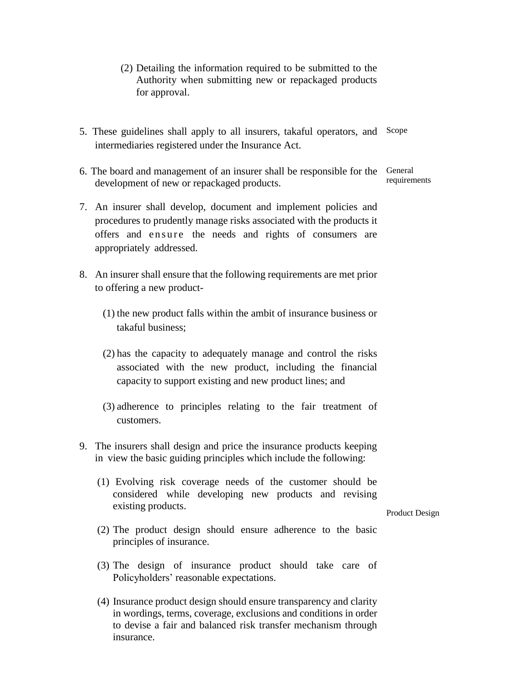- (2) Detailing the information required to be submitted to the Authority when submitting new or repackaged products for approval.
- 5. These guidelines shall apply to all insurers, takaful operators, and Scope intermediaries registered under the Insurance Act.
- 6. The board and management of an insurer shall be responsible for the development of new or repackaged products. General requirements
- 7. An insurer shall develop, document and implement policies and procedures to prudently manage risks associated with the products it offers and ensure the needs and rights of consumers are appropriately addressed.
- 8. An insurer shall ensure that the following requirements are met prior to offering a new product-
	- (1) the new product falls within the ambit of insurance business or takaful business;
	- (2) has the capacity to adequately manage and control the risks associated with the new product, including the financial capacity to support existing and new product lines; and
	- (3) adherence to principles relating to the fair treatment of customers.
- 9. The insurers shall design and price the insurance products keeping in view the basic guiding principles which include the following:
	- (1) Evolving risk coverage needs of the customer should be considered while developing new products and revising existing products.

Product Design

- (2) The product design should ensure adherence to the basic principles of insurance.
- (3) The design of insurance product should take care of Policyholders' reasonable expectations.
- (4) Insurance product design should ensure transparency and clarity in wordings, terms, coverage, exclusions and conditions in order to devise a fair and balanced risk transfer mechanism through insurance.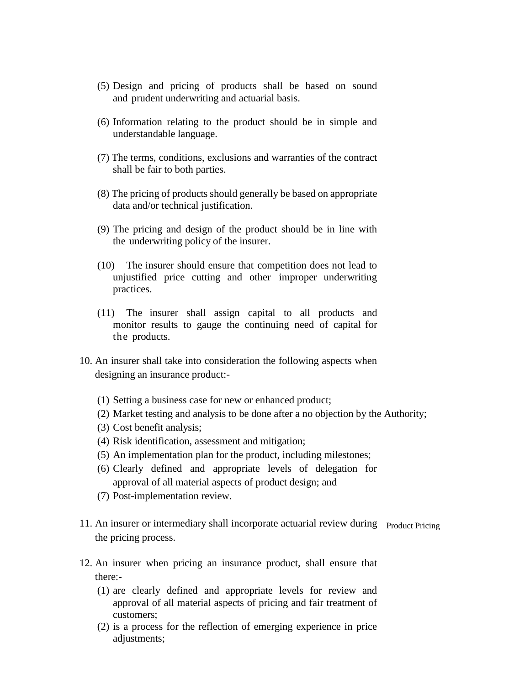- (5) Design and pricing of products shall be based on sound and prudent underwriting and actuarial basis.
- (6) Information relating to the product should be in simple and understandable language.
- (7) The terms, conditions, exclusions and warranties of the contract shall be fair to both parties.
- (8) The pricing of products should generally be based on appropriate data and/or technical justification.
- (9) The pricing and design of the product should be in line with the underwriting policy of the insurer.
- (10) The insurer should ensure that competition does not lead to unjustified price cutting and other improper underwriting practices.
- (11) The insurer shall assign capital to all products and monitor results to gauge the continuing need of capital for the products.
- 10. An insurer shall take into consideration the following aspects when designing an insurance product:-
	- (1) Setting a business case for new or enhanced product;
	- (2) Market testing and analysis to be done after a no objection by the Authority;
	- (3) Cost benefit analysis;
	- (4) Risk identification, assessment and mitigation;
	- (5) An implementation plan for the product, including milestones;
	- (6) Clearly defined and appropriate levels of delegation for approval of all material aspects of product design; and
	- (7) Post-implementation review.
- 11. An insurer or intermediary shall incorporate actuarial review during Product Pricing the pricing process.
- 12. An insurer when pricing an insurance product, shall ensure that there:-
	- (1) are clearly defined and appropriate levels for review and approval of all material aspects of pricing and fair treatment of customers;
	- (2) is a process for the reflection of emerging experience in price adjustments;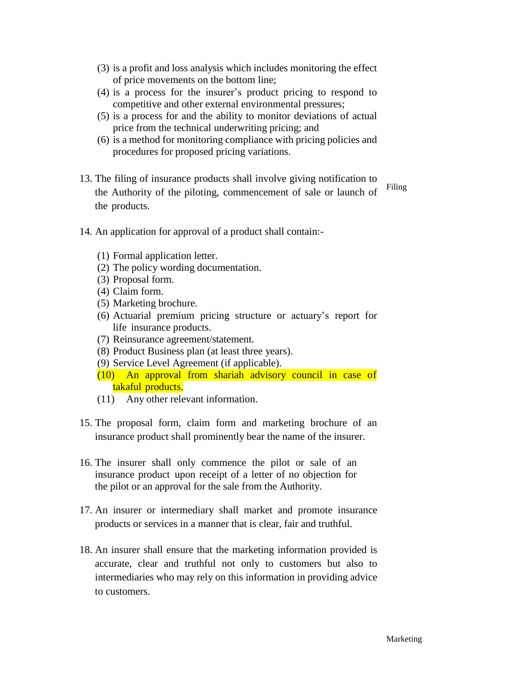- (3) is a profit and loss analysis which includes monitoring the effect of price movements on the bottom line;
- (4) is a process for the insurer's product pricing to respond to competitive and other external environmental pressures;
- (5) is a process for and the ability to monitor deviations of actual price from the technical underwriting pricing; and
- (6) is a method for monitoring compliance with pricing policies and procedures for proposed pricing variations.
- 13. The filing of insurance products shall involve giving notification to the Authority of the piloting, commencement of sale or launch of the products.

Filing

- 14. An application for approval of a product shall contain:-
	- (1) Formal application letter.
	- (2) The policy wording documentation.
	- (3) Proposal form.
	- (4) Claim form.
	- (5) Marketing brochure.
	- (6) Actuarial premium pricing structure or actuary's report for life insurance products.
	- (7) Reinsurance agreement/statement.
	- (8) Product Business plan (at least three years).
	- (9) Service Level Agreement (if applicable).
	- (10) An approval from shariah advisory council in case of takaful products.
	- (11) Any other relevant information.
- 15. The proposal form, claim form and marketing brochure of an insurance product shall prominently bear the name of the insurer.
- 16. The insurer shall only commence the pilot or sale of an insurance product upon receipt of a letter of no objection for the pilot or an approval for the sale from the Authority.
- 17. An insurer or intermediary shall market and promote insurance products or services in a manner that is clear, fair and truthful.
- 18. An insurer shall ensure that the marketing information provided is accurate, clear and truthful not only to customers but also to intermediaries who may rely on this information in providing advice to customers.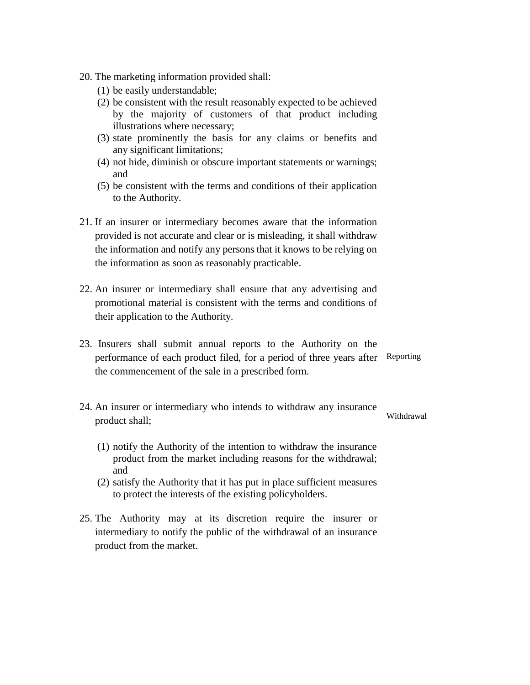- 20. The marketing information provided shall:
	- (1) be easily understandable;
	- (2) be consistent with the result reasonably expected to be achieved by the majority of customers of that product including illustrations where necessary;
	- (3) state prominently the basis for any claims or benefits and any significant limitations;
	- (4) not hide, diminish or obscure important statements or warnings; and
	- (5) be consistent with the terms and conditions of their application to the Authority.
- 21. If an insurer or intermediary becomes aware that the information provided is not accurate and clear or is misleading, it shall withdraw the information and notify any persons that it knows to be relying on the information as soon as reasonably practicable.
- 22. An insurer or intermediary shall ensure that any advertising and promotional material is consistent with the terms and conditions of their application to the Authority.
- 23. Insurers shall submit annual reports to the Authority on the performance of each product filed, for a period of three years after Reporting the commencement of the sale in a prescribed form.
- 24. An insurer or intermediary who intends to withdraw any insurance product shall; **Withdrawal** 
	- (1) notify the Authority of the intention to withdraw the insurance product from the market including reasons for the withdrawal; and
	- (2) satisfy the Authority that it has put in place sufficient measures to protect the interests of the existing policyholders.
- 25. The Authority may at its discretion require the insurer or intermediary to notify the public of the withdrawal of an insurance product from the market.